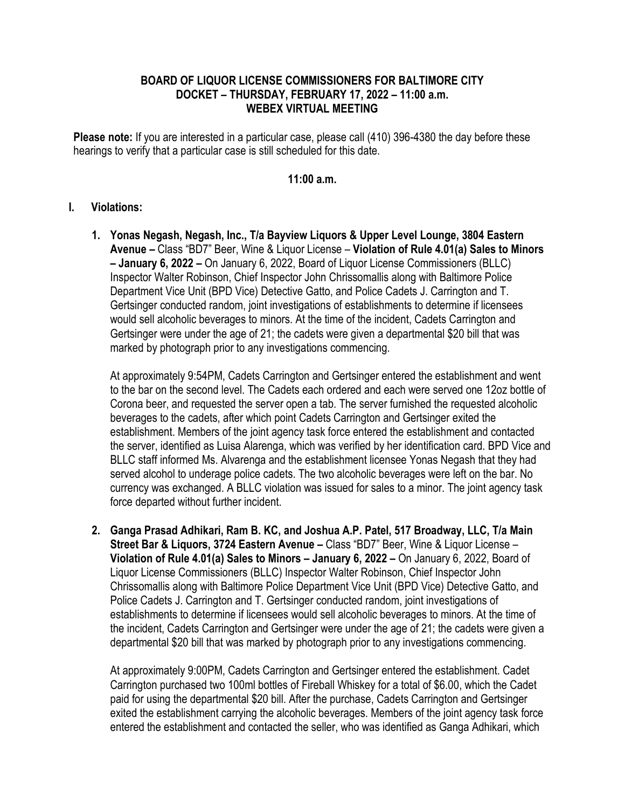## **BOARD OF LIQUOR LICENSE COMMISSIONERS FOR BALTIMORE CITY DOCKET – THURSDAY, FEBRUARY 17, 2022 – 11:00 a.m. WEBEX VIRTUAL MEETING**

**Please note:** If you are interested in a particular case, please call (410) 396-4380 the day before these hearings to verify that a particular case is still scheduled for this date.

## **11:00 a.m.**

## **I. Violations:**

**1. Yonas Negash, Negash, Inc., T/a Bayview Liquors & Upper Level Lounge, 3804 Eastern Avenue –** Class "BD7" Beer, Wine & Liquor License – **Violation of Rule 4.01(a) Sales to Minors – January 6, 2022 –** On January 6, 2022, Board of Liquor License Commissioners (BLLC) Inspector Walter Robinson, Chief Inspector John Chrissomallis along with Baltimore Police Department Vice Unit (BPD Vice) Detective Gatto, and Police Cadets J. Carrington and T. Gertsinger conducted random, joint investigations of establishments to determine if licensees would sell alcoholic beverages to minors. At the time of the incident, Cadets Carrington and Gertsinger were under the age of 21; the cadets were given a departmental \$20 bill that was marked by photograph prior to any investigations commencing.

At approximately 9:54PM, Cadets Carrington and Gertsinger entered the establishment and went to the bar on the second level. The Cadets each ordered and each were served one 12oz bottle of Corona beer, and requested the server open a tab. The server furnished the requested alcoholic beverages to the cadets, after which point Cadets Carrington and Gertsinger exited the establishment. Members of the joint agency task force entered the establishment and contacted the server, identified as Luisa Alarenga, which was verified by her identification card. BPD Vice and BLLC staff informed Ms. Alvarenga and the establishment licensee Yonas Negash that they had served alcohol to underage police cadets. The two alcoholic beverages were left on the bar. No currency was exchanged. A BLLC violation was issued for sales to a minor. The joint agency task force departed without further incident.

**2. Ganga Prasad Adhikari, Ram B. KC, and Joshua A.P. Patel, 517 Broadway, LLC, T/a Main Street Bar & Liquors, 3724 Eastern Avenue –** Class "BD7" Beer, Wine & Liquor License – **Violation of Rule 4.01(a) Sales to Minors – January 6, 2022 –** On January 6, 2022, Board of Liquor License Commissioners (BLLC) Inspector Walter Robinson, Chief Inspector John Chrissomallis along with Baltimore Police Department Vice Unit (BPD Vice) Detective Gatto, and Police Cadets J. Carrington and T. Gertsinger conducted random, joint investigations of establishments to determine if licensees would sell alcoholic beverages to minors. At the time of the incident, Cadets Carrington and Gertsinger were under the age of 21; the cadets were given a departmental \$20 bill that was marked by photograph prior to any investigations commencing.

At approximately 9:00PM, Cadets Carrington and Gertsinger entered the establishment. Cadet Carrington purchased two 100ml bottles of Fireball Whiskey for a total of \$6.00, which the Cadet paid for using the departmental \$20 bill. After the purchase, Cadets Carrington and Gertsinger exited the establishment carrying the alcoholic beverages. Members of the joint agency task force entered the establishment and contacted the seller, who was identified as Ganga Adhikari, which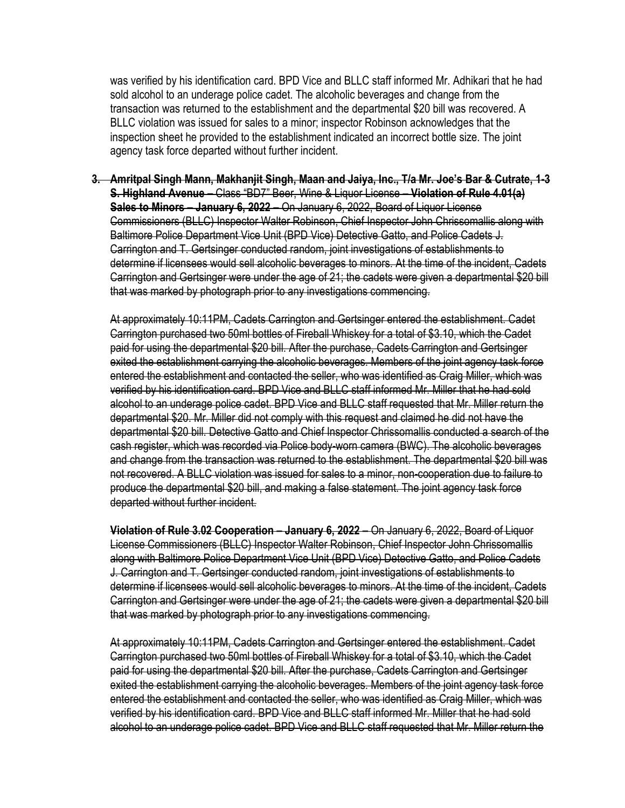was verified by his identification card. BPD Vice and BLLC staff informed Mr. Adhikari that he had sold alcohol to an underage police cadet. The alcoholic beverages and change from the transaction was returned to the establishment and the departmental \$20 bill was recovered. A BLLC violation was issued for sales to a minor; inspector Robinson acknowledges that the inspection sheet he provided to the establishment indicated an incorrect bottle size. The joint agency task force departed without further incident.

**3. Amritpal Singh Mann, Makhanjit Singh, Maan and Jaiya, Inc., T/a Mr. Joe's Bar & Cutrate, 1-3 S. Highland Avenue –** Class "BD7" Beer, Wine & Liquor License – **Violation of Rule 4.01(a) Sales to Minors – January 6, 2022 –** On January 6, 2022, Board of Liquor License Commissioners (BLLC) Inspector Walter Robinson, Chief Inspector John Chrissomallis along with Baltimore Police Department Vice Unit (BPD Vice) Detective Gatto, and Police Cadets J. Carrington and T. Gertsinger conducted random, joint investigations of establishments to determine if licensees would sell alcoholic beverages to minors. At the time of the incident, Cadets Carrington and Gertsinger were under the age of 21; the cadets were given a departmental \$20 bill that was marked by photograph prior to any investigations commencing.

At approximately 10:11PM, Cadets Carrington and Gertsinger entered the establishment. Cadet Carrington purchased two 50ml bottles of Fireball Whiskey for a total of \$3.10, which the Cadet paid for using the departmental \$20 bill. After the purchase, Cadets Carrington and Gertsinger exited the establishment carrying the alcoholic beverages. Members of the joint agency task force entered the establishment and contacted the seller, who was identified as Craig Miller, which was verified by his identification card. BPD Vice and BLLC staff informed Mr. Miller that he had sold alcohol to an underage police cadet. BPD Vice and BLLC staff requested that Mr. Miller return the departmental \$20. Mr. Miller did not comply with this request and claimed he did not have the departmental \$20 bill. Detective Gatto and Chief Inspector Chrissomallis conducted a search of the cash register, which was recorded via Police body-worn camera (BWC). The alcoholic beverages and change from the transaction was returned to the establishment. The departmental \$20 bill was not recovered. A BLLC violation was issued for sales to a minor, non-cooperation due to failure to produce the departmental \$20 bill, and making a false statement. The joint agency task force departed without further incident.

**Violation of Rule 3.02 Cooperation – January 6, 2022 –** On January 6, 2022, Board of Liquor License Commissioners (BLLC) Inspector Walter Robinson, Chief Inspector John Chrissomallis along with Baltimore Police Department Vice Unit (BPD Vice) Detective Gatto, and Police Cadets J. Carrington and T. Gertsinger conducted random, joint investigations of establishments to determine if licensees would sell alcoholic beverages to minors. At the time of the incident, Cadets Carrington and Gertsinger were under the age of 21; the cadets were given a departmental \$20 bill that was marked by photograph prior to any investigations commencing.

At approximately 10:11PM, Cadets Carrington and Gertsinger entered the establishment. Cadet Carrington purchased two 50ml bottles of Fireball Whiskey for a total of \$3.10, which the Cadet paid for using the departmental \$20 bill. After the purchase, Cadets Carrington and Gertsinger exited the establishment carrying the alcoholic beverages. Members of the joint agency task force entered the establishment and contacted the seller, who was identified as Craig Miller, which was verified by his identification card. BPD Vice and BLLC staff informed Mr. Miller that he had sold alcohol to an underage police cadet. BPD Vice and BLLC staff requested that Mr. Miller return the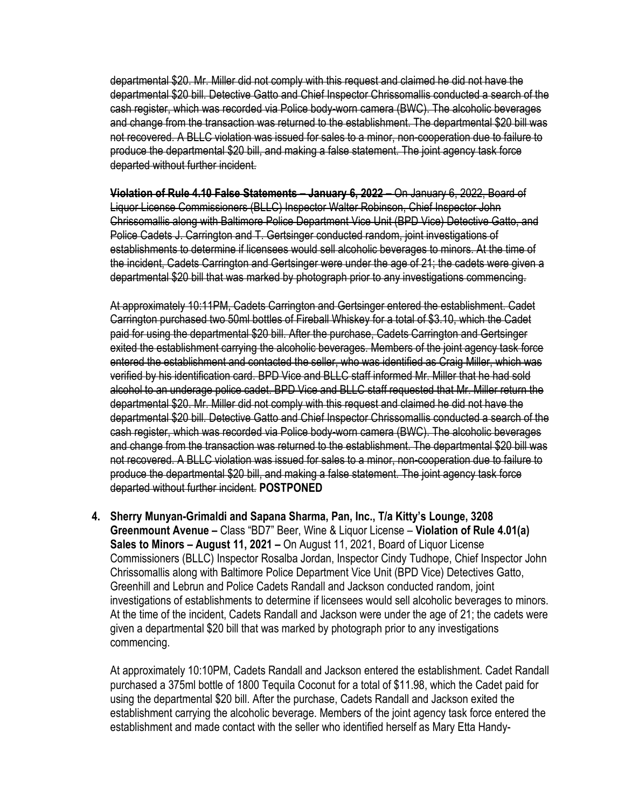departmental \$20. Mr. Miller did not comply with this request and claimed he did not have the departmental \$20 bill. Detective Gatto and Chief Inspector Chrissomallis conducted a search of the cash register, which was recorded via Police body-worn camera (BWC). The alcoholic beverages and change from the transaction was returned to the establishment. The departmental \$20 bill was not recovered. A BLLC violation was issued for sales to a minor, non-cooperation due to failure to produce the departmental \$20 bill, and making a false statement. The joint agency task force departed without further incident.

**Violation of Rule 4.10 False Statements – January 6, 2022 –** On January 6, 2022, Board of Liquor License Commissioners (BLLC) Inspector Walter Robinson, Chief Inspector John Chrissomallis along with Baltimore Police Department Vice Unit (BPD Vice) Detective Gatto, and Police Cadets J. Carrington and T. Gertsinger conducted random, joint investigations of establishments to determine if licensees would sell alcoholic beverages to minors. At the time of the incident, Cadets Carrington and Gertsinger were under the age of 21; the cadets were given a departmental \$20 bill that was marked by photograph prior to any investigations commencing.

At approximately 10:11PM, Cadets Carrington and Gertsinger entered the establishment. Cadet Carrington purchased two 50ml bottles of Fireball Whiskey for a total of \$3.10, which the Cadet paid for using the departmental \$20 bill. After the purchase, Cadets Carrington and Gertsinger exited the establishment carrying the alcoholic beverages. Members of the joint agency task force entered the establishment and contacted the seller, who was identified as Craig Miller, which was verified by his identification card. BPD Vice and BLLC staff informed Mr. Miller that he had sold alcohol to an underage police cadet. BPD Vice and BLLC staff requested that Mr. Miller return the departmental \$20. Mr. Miller did not comply with this request and claimed he did not have the departmental \$20 bill. Detective Gatto and Chief Inspector Chrissomallis conducted a search of the cash register, which was recorded via Police body-worn camera (BWC). The alcoholic beverages and change from the transaction was returned to the establishment. The departmental \$20 bill was not recovered. A BLLC violation was issued for sales to a minor, non-cooperation due to failure to produce the departmental \$20 bill, and making a false statement. The joint agency task force departed without further incident. **POSTPONED**

**4. Sherry Munyan-Grimaldi and Sapana Sharma, Pan, Inc., T/a Kitty's Lounge, 3208 Greenmount Avenue –** Class "BD7" Beer, Wine & Liquor License – **Violation of Rule 4.01(a) Sales to Minors – August 11, 2021 –** On August 11, 2021, Board of Liquor License Commissioners (BLLC) Inspector Rosalba Jordan, Inspector Cindy Tudhope, Chief Inspector John Chrissomallis along with Baltimore Police Department Vice Unit (BPD Vice) Detectives Gatto, Greenhill and Lebrun and Police Cadets Randall and Jackson conducted random, joint investigations of establishments to determine if licensees would sell alcoholic beverages to minors. At the time of the incident, Cadets Randall and Jackson were under the age of 21; the cadets were given a departmental \$20 bill that was marked by photograph prior to any investigations commencing.

At approximately 10:10PM, Cadets Randall and Jackson entered the establishment. Cadet Randall purchased a 375ml bottle of 1800 Tequila Coconut for a total of \$11.98, which the Cadet paid for using the departmental \$20 bill. After the purchase, Cadets Randall and Jackson exited the establishment carrying the alcoholic beverage. Members of the joint agency task force entered the establishment and made contact with the seller who identified herself as Mary Etta Handy-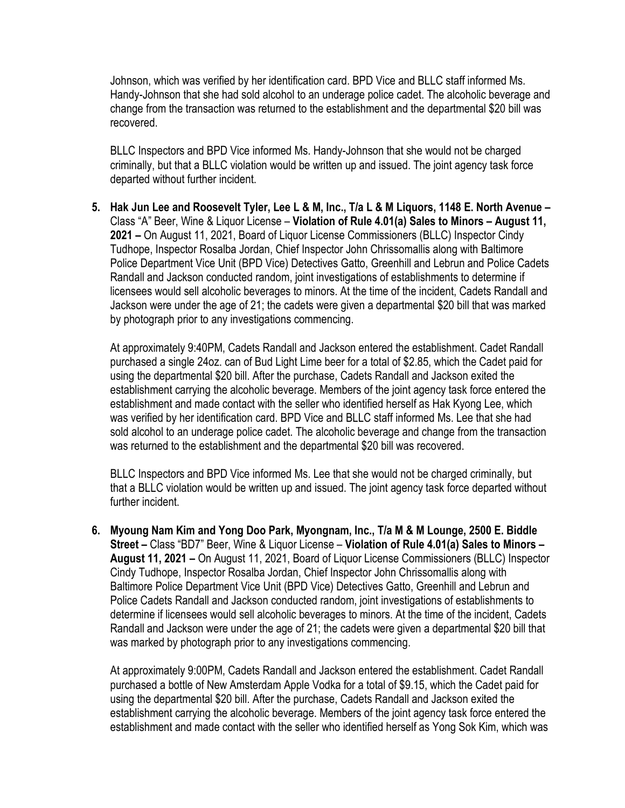Johnson, which was verified by her identification card. BPD Vice and BLLC staff informed Ms. Handy-Johnson that she had sold alcohol to an underage police cadet. The alcoholic beverage and change from the transaction was returned to the establishment and the departmental \$20 bill was recovered.

BLLC Inspectors and BPD Vice informed Ms. Handy-Johnson that she would not be charged criminally, but that a BLLC violation would be written up and issued. The joint agency task force departed without further incident.

**5. Hak Jun Lee and Roosevelt Tyler, Lee L & M, Inc., T/a L & M Liquors, 1148 E. North Avenue –** Class "A" Beer, Wine & Liquor License – **Violation of Rule 4.01(a) Sales to Minors – August 11, 2021 –** On August 11, 2021, Board of Liquor License Commissioners (BLLC) Inspector Cindy Tudhope, Inspector Rosalba Jordan, Chief Inspector John Chrissomallis along with Baltimore Police Department Vice Unit (BPD Vice) Detectives Gatto, Greenhill and Lebrun and Police Cadets Randall and Jackson conducted random, joint investigations of establishments to determine if licensees would sell alcoholic beverages to minors. At the time of the incident, Cadets Randall and Jackson were under the age of 21; the cadets were given a departmental \$20 bill that was marked by photograph prior to any investigations commencing.

At approximately 9:40PM, Cadets Randall and Jackson entered the establishment. Cadet Randall purchased a single 24oz. can of Bud Light Lime beer for a total of \$2.85, which the Cadet paid for using the departmental \$20 bill. After the purchase, Cadets Randall and Jackson exited the establishment carrying the alcoholic beverage. Members of the joint agency task force entered the establishment and made contact with the seller who identified herself as Hak Kyong Lee, which was verified by her identification card. BPD Vice and BLLC staff informed Ms. Lee that she had sold alcohol to an underage police cadet. The alcoholic beverage and change from the transaction was returned to the establishment and the departmental \$20 bill was recovered.

BLLC Inspectors and BPD Vice informed Ms. Lee that she would not be charged criminally, but that a BLLC violation would be written up and issued. The joint agency task force departed without further incident.

**6. Myoung Nam Kim and Yong Doo Park, Myongnam, Inc., T/a M & M Lounge, 2500 E. Biddle Street –** Class "BD7" Beer, Wine & Liquor License – **Violation of Rule 4.01(a) Sales to Minors – August 11, 2021 –** On August 11, 2021, Board of Liquor License Commissioners (BLLC) Inspector Cindy Tudhope, Inspector Rosalba Jordan, Chief Inspector John Chrissomallis along with Baltimore Police Department Vice Unit (BPD Vice) Detectives Gatto, Greenhill and Lebrun and Police Cadets Randall and Jackson conducted random, joint investigations of establishments to determine if licensees would sell alcoholic beverages to minors. At the time of the incident, Cadets Randall and Jackson were under the age of 21; the cadets were given a departmental \$20 bill that was marked by photograph prior to any investigations commencing.

At approximately 9:00PM, Cadets Randall and Jackson entered the establishment. Cadet Randall purchased a bottle of New Amsterdam Apple Vodka for a total of \$9.15, which the Cadet paid for using the departmental \$20 bill. After the purchase, Cadets Randall and Jackson exited the establishment carrying the alcoholic beverage. Members of the joint agency task force entered the establishment and made contact with the seller who identified herself as Yong Sok Kim, which was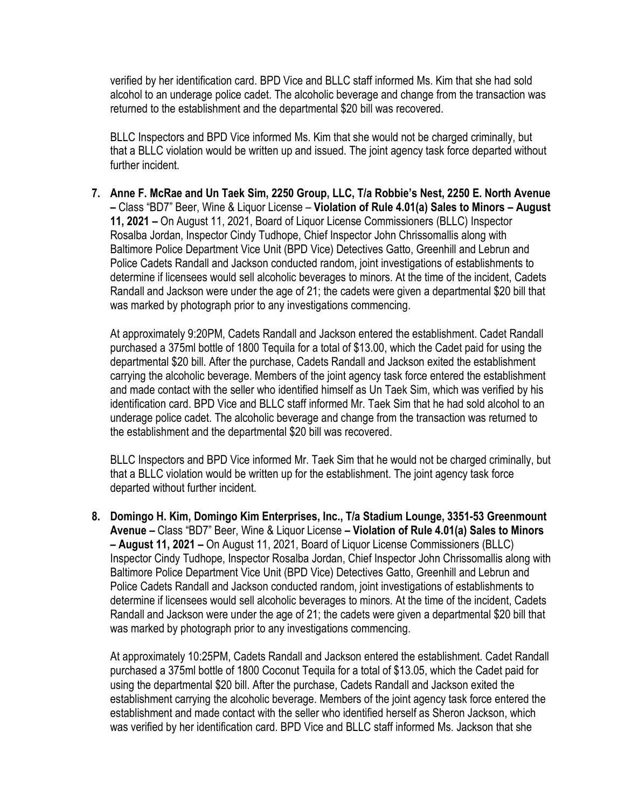verified by her identification card. BPD Vice and BLLC staff informed Ms. Kim that she had sold alcohol to an underage police cadet. The alcoholic beverage and change from the transaction was returned to the establishment and the departmental \$20 bill was recovered.

BLLC Inspectors and BPD Vice informed Ms. Kim that she would not be charged criminally, but that a BLLC violation would be written up and issued. The joint agency task force departed without further incident.

**7. Anne F. McRae and Un Taek Sim, 2250 Group, LLC, T/a Robbie's Nest, 2250 E. North Avenue –** Class "BD7" Beer, Wine & Liquor License – **Violation of Rule 4.01(a) Sales to Minors – August 11, 2021 –** On August 11, 2021, Board of Liquor License Commissioners (BLLC) Inspector Rosalba Jordan, Inspector Cindy Tudhope, Chief Inspector John Chrissomallis along with Baltimore Police Department Vice Unit (BPD Vice) Detectives Gatto, Greenhill and Lebrun and Police Cadets Randall and Jackson conducted random, joint investigations of establishments to determine if licensees would sell alcoholic beverages to minors. At the time of the incident, Cadets Randall and Jackson were under the age of 21; the cadets were given a departmental \$20 bill that was marked by photograph prior to any investigations commencing.

At approximately 9:20PM, Cadets Randall and Jackson entered the establishment. Cadet Randall purchased a 375ml bottle of 1800 Tequila for a total of \$13.00, which the Cadet paid for using the departmental \$20 bill. After the purchase, Cadets Randall and Jackson exited the establishment carrying the alcoholic beverage. Members of the joint agency task force entered the establishment and made contact with the seller who identified himself as Un Taek Sim, which was verified by his identification card. BPD Vice and BLLC staff informed Mr. Taek Sim that he had sold alcohol to an underage police cadet. The alcoholic beverage and change from the transaction was returned to the establishment and the departmental \$20 bill was recovered.

BLLC Inspectors and BPD Vice informed Mr. Taek Sim that he would not be charged criminally, but that a BLLC violation would be written up for the establishment. The joint agency task force departed without further incident.

**8. Domingo H. Kim, Domingo Kim Enterprises, Inc., T/a Stadium Lounge, 3351-53 Greenmount Avenue –** Class "BD7" Beer, Wine & Liquor License **– Violation of Rule 4.01(a) Sales to Minors – August 11, 2021 –** On August 11, 2021, Board of Liquor License Commissioners (BLLC) Inspector Cindy Tudhope, Inspector Rosalba Jordan, Chief Inspector John Chrissomallis along with Baltimore Police Department Vice Unit (BPD Vice) Detectives Gatto, Greenhill and Lebrun and Police Cadets Randall and Jackson conducted random, joint investigations of establishments to determine if licensees would sell alcoholic beverages to minors. At the time of the incident, Cadets Randall and Jackson were under the age of 21; the cadets were given a departmental \$20 bill that was marked by photograph prior to any investigations commencing.

At approximately 10:25PM, Cadets Randall and Jackson entered the establishment. Cadet Randall purchased a 375ml bottle of 1800 Coconut Tequila for a total of \$13.05, which the Cadet paid for using the departmental \$20 bill. After the purchase, Cadets Randall and Jackson exited the establishment carrying the alcoholic beverage. Members of the joint agency task force entered the establishment and made contact with the seller who identified herself as Sheron Jackson, which was verified by her identification card. BPD Vice and BLLC staff informed Ms. Jackson that she